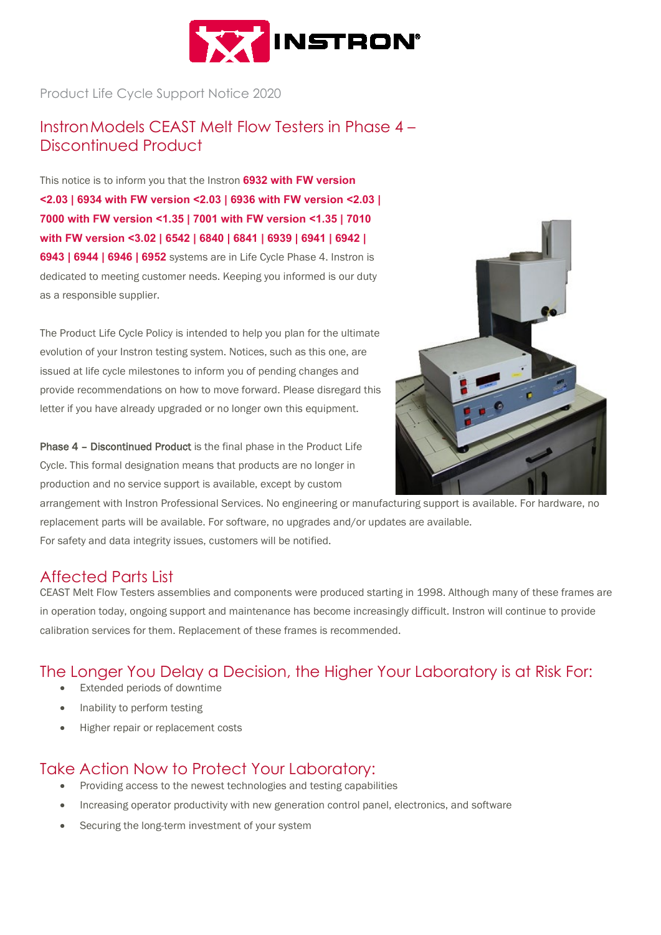

Product Life Cycle Support Notice 2020

## InstronModels CEAST Melt Flow Testers in Phase 4 – Discontinued Product

This notice is to inform you that the Instron **6932 with FW version <2.03 | 6934 with FW version <2.03 | 6936 with FW version <2.03 | 7000 with FW version <1.35 | 7001 with FW version <1.35 | 7010 with FW version <3.02 | 6542 | 6840 | 6841 | 6939 | 6941 | 6942 | 6943 | 6944 | 6946 | 6952** systems are in Life Cycle Phase 4. Instron is dedicated to meeting customer needs. Keeping you informed is our duty as a responsible supplier.

The Product Life Cycle Policy is intended to help you plan for the ultimate evolution of your Instron testing system. Notices, such as this one, are issued at life cycle milestones to inform you of pending changes and provide recommendations on how to move forward. Please disregard this letter if you have already upgraded or no longer own this equipment.

Phase 4 – Discontinued Product is the final phase in the Product Life Cycle. This formal designation means that products are no longer in production and no service support is available, except by custom



arrangement with Instron Professional Services. No engineering or manufacturing support is available. For hardware, no replacement parts will be available. For software, no upgrades and/or updates are available. For safety and data integrity issues, customers will be notified.

### Affected Parts List

CEAST Melt Flow Testers assemblies and components were produced starting in 1998. Although many of these frames are in operation today, ongoing support and maintenance has become increasingly difficult. Instron will continue to provide calibration services for them. Replacement of these frames is recommended.

## The Longer You Delay a Decision, the Higher Your Laboratory is at Risk For:

- Extended periods of downtime
- Inability to perform testing
- Higher repair or replacement costs

## Take Action Now to Protect Your Laboratory:

- Providing access to the newest technologies and testing capabilities
- Increasing operator productivity with new generation control panel, electronics, and software
- Securing the long-term investment of your system